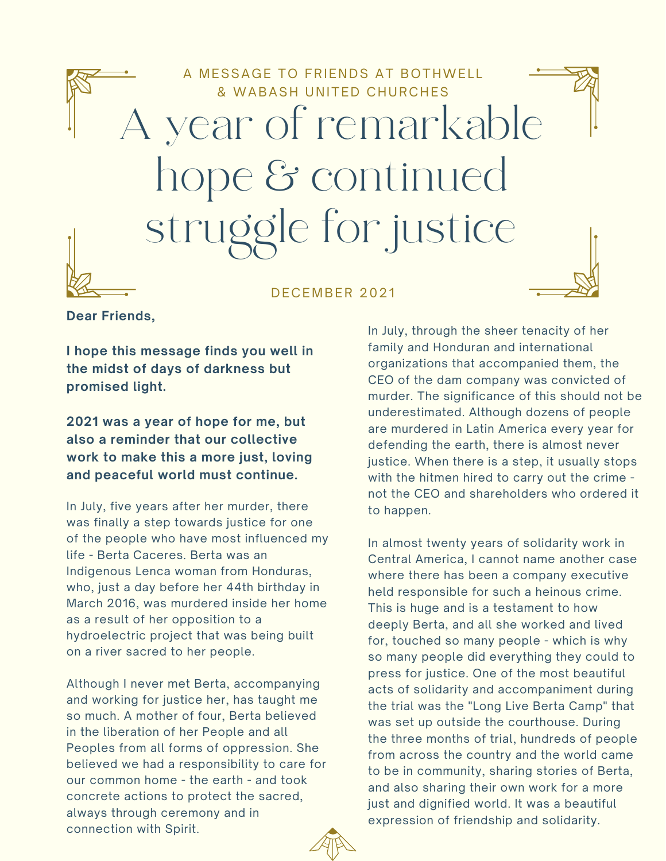

## D F C E M B E R 2021

**Dear Friends,**

**I hope this message finds you well in the midst of days of darkness but promised light.**

**2021 was a year of hope for me, but also a reminder that our collective work to make this a more just, loving and peaceful world must continue.**

In July, five years after her murder, there was finally a step towards justice for one of the people who have most influenced my life - Berta Caceres. Berta was an Indigenous Lenca woman from Honduras, who, just a day before her 44th birthday in March 2016, was murdered inside her home as a result of her opposition to a hydroelectric project that was being built on a river sacred to her people.

Although I never met Berta, accompanying and working for justice her, has taught me so much. A mother of four, Berta believed in the liberation of her People and all Peoples from all forms of oppression. She believed we had a responsibility to care for our common home - the earth - and took concrete actions to protect the sacred, always through ceremony and in connection with Spirit.

In July, through the sheer tenacity of her family and Honduran and international organizations that accompanied them, the CEO of the dam company was convicted of murder. The significance of this should not be underestimated. Although dozens of people are murdered in Latin America every year for defending the earth, there is almost never justice. When there is a step, it usually stops with the hitmen hired to carry out the crime not the CEO and shareholders who ordered it to happen.

In almost twenty years of solidarity work in Central America, I cannot name another case where there has been a company executive held responsible for such a heinous crime. This is huge and is a testament to how deeply Berta, and all she worked and lived for, touched so many people - which is why so many people did everything they could to press for justice. One of the most beautiful acts of solidarity and accompaniment during the trial was the "Long Live Berta Camp" that was set up outside the courthouse. During the three months of trial, hundreds of people from across the country and the world came to be in community, sharing stories of Berta, and also sharing their own work for a more just and dignified world. It was a beautiful expression of friendship and solidarity.